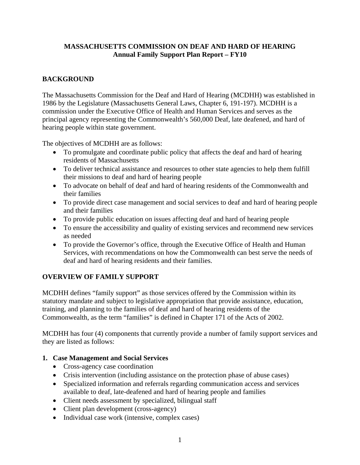### **MASSACHUSETTS COMMISSION ON DEAF AND HARD OF HEARING Annual Family Support Plan Report – FY10**

# **BACKGROUND**

The Massachusetts Commission for the Deaf and Hard of Hearing (MCDHH) was established in 1986 by the Legislature (Massachusetts General Laws, Chapter 6, 191-197). MCDHH is a commission under the Executive Office of Health and Human Services and serves as the principal agency representing the Commonwealth's 560,000 Deaf, late deafened, and hard of hearing people within state government.

The objectives of MCDHH are as follows:

- To promulgate and coordinate public policy that affects the deaf and hard of hearing residents of Massachusetts
- To deliver technical assistance and resources to other state agencies to help them fulfill their missions to deaf and hard of hearing people
- To advocate on behalf of deaf and hard of hearing residents of the Commonwealth and their families
- To provide direct case management and social services to deaf and hard of hearing people and their families
- To provide public education on issues affecting deaf and hard of hearing people
- To ensure the accessibility and quality of existing services and recommend new services as needed
- To provide the Governor's office, through the Executive Office of Health and Human Services, with recommendations on how the Commonwealth can best serve the needs of deaf and hard of hearing residents and their families.

# **OVERVIEW OF FAMILY SUPPORT**

MCDHH defines "family support" as those services offered by the Commission within its statutory mandate and subject to legislative appropriation that provide assistance, education, training, and planning to the families of deaf and hard of hearing residents of the Commonwealth, as the term "families" is defined in Chapter 171 of the Acts of 2002.

MCDHH has four (4) components that currently provide a number of family support services and they are listed as follows:

# **1. Case Management and Social Services**

- Cross-agency case coordination
- Crisis intervention (including assistance on the protection phase of abuse cases)
- Specialized information and referrals regarding communication access and services available to deaf, late-deafened and hard of hearing people and families
- Client needs assessment by specialized, bilingual staff
- Client plan development (cross-agency)
- Individual case work (intensive, complex cases)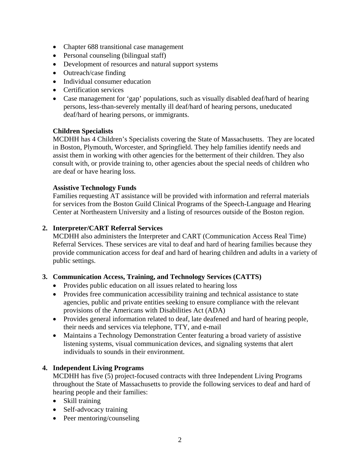- Chapter 688 transitional case management
- Personal counseling (bilingual staff)
- Development of resources and natural support systems
- Outreach/case finding
- Individual consumer education
- Certification services
- Case management for 'gap' populations, such as visually disabled deaf/hard of hearing persons, less-than-severely mentally ill deaf/hard of hearing persons, uneducated deaf/hard of hearing persons, or immigrants.

### **Children Specialists**

MCDHH has 4 Children's Specialists covering the State of Massachusetts. They are located in Boston, Plymouth, Worcester, and Springfield. They help families identify needs and assist them in working with other agencies for the betterment of their children. They also consult with, or provide training to, other agencies about the special needs of children who are deaf or have hearing loss.

#### **Assistive Technology Funds**

Families requesting AT assistance will be provided with information and referral materials for services from the Boston Guild Clinical Programs of the Speech-Language and Hearing Center at Northeastern University and a listing of resources outside of the Boston region.

### **2. Interpreter/CART Referral Services**

MCDHH also administers the Interpreter and CART (Communication Access Real Time) Referral Services. These services are vital to deaf and hard of hearing families because they provide communication access for deaf and hard of hearing children and adults in a variety of public settings.

### **3. Communication Access, Training, and Technology Services (CATTS)**

- Provides public education on all issues related to hearing loss
- Provides free communication accessibility training and technical assistance to state agencies, public and private entities seeking to ensure compliance with the relevant provisions of the Americans with Disabilities Act (ADA)
- Provides general information related to deaf, late deafened and hard of hearing people, their needs and services via telephone, TTY, and e-mail
- Maintains a Technology Demonstration Center featuring a broad variety of assistive listening systems, visual communication devices, and signaling systems that alert individuals to sounds in their environment.

### **4. Independent Living Programs**

MCDHH has five (5) project-focused contracts with three Independent Living Programs throughout the State of Massachusetts to provide the following services to deaf and hard of hearing people and their families:

- Skill training
- Self-advocacy training
- Peer mentoring/counseling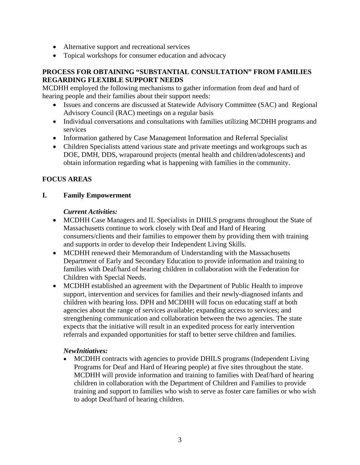- Alternative support and recreational services
- Topical workshops for consumer education and advocacy

### **PROCESS FOR OBTAINING "SUBSTANTIAL CONSULTATION" FROM FAMILIES REGARDING FLEXIBLE SUPPORT NEEDS**

MCDHH employed the following mechanisms to gather information from deaf and hard of hearing people and their families about their support needs:

- Issues and concerns are discussed at Statewide Advisory Committee (SAC) and Regional Advisory Council (RAC) meetings on a regular basis
- Individual conversations and consultations with families utilizing MCDHH programs and services
- Information gathered by Case Management Information and Referral Specialist
- Children Specialists attend various state and private meetings and workgroups such as DOE, DMH, DDS, wraparound projects (mental health and children/adolescents) and obtain information regarding what is happening with families in the community.

# **FOCUS AREAS**

### **I. Family Empowerment**

### *Current Activities:*

- MCDHH Case Managers and IL Specialists in DHILS programs throughout the State of Massachusetts continue to work closely with Deaf and Hard of Hearing consumers/clients and their families to empower them by providing them with training and supports in order to develop their Independent Living Skills.
- MCDHH renewed their Memorandum of Understanding with the Massachusetts Department of Early and Secondary Education to provide information and training to families with Deaf/hard of hearing children in collaboration with the Federation for Children with Special Needs.
- MCDHH established an agreement with the Department of Public Health to improve support, intervention and services for families and their newly-diagnosed infants and children with hearing loss. DPH and MCDHH will focus on educating staff at both agencies about the range of services available; expanding access to services; and strengthening communication and collaboration between the two agencies. The state expects that the initiative will result in an expedited process for early intervention referrals and expanded opportunities for staff to better serve children and families.

### *NewInitiatives:*

MCDHH contracts with agencies to provide DHILS programs (Independent Living Programs for Deaf and Hard of Hearing people) at five sites throughout the state. MCDHH will provide information and training to families with Deaf/hard of hearing children in collaboration with the Department of Children and Families to provide training and support to families who wish to serve as foster care families or who wish to adopt Deaf/hard of hearing children. •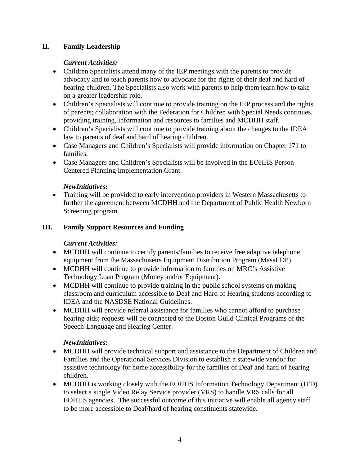# **II. Family Leadership**

# *Current Activities:*

- Children Specialists attend many of the IEP meetings with the parents to provide advocacy and to teach parents how to advocate for the rights of their deaf and hard of hearing children. The Specialists also work with parents to help them learn how to take on a greater leadership role.
- Children's Specialists will continue to provide training on the IEP process and the rights of parents; collaboration with the Federation for Children with Special Needs continues, providing training, information and resources to families and MCDHH staff.
- Children's Specialists will continue to provide training about the changes to the IDEA law to parents of deaf and hard of hearing children.
- Case Managers and Children's Specialists will provide information on Chapter 171 to families.
- Case Managers and Children's Specialists will be involved in the EOHHS Person Centered Planning Implementation Grant.

### *NewInitiatives:*

• Training will be provided to early intervention providers in Western Massachusetts to further the agreement between MCDHH and the Department of Public Health Newborn Screening program.

# **III. Family Support Resources and Funding**

# *Current Activities:*

- MCDHH will continue to certify parents/families to receive free adaptive telephone equipment from the Massachusetts Equipment Distribution Program (MassEDP).
- MCDHH will continue to provide information to families on MRC's Assistive Technology Loan Program (Money and/or Equipment).
- MCDHH will continue to provide training in the public school systems on making classroom and curriculum accessible to Deaf and Hard of Hearing students according to IDEA and the NASDSE National Guidelines.
- MCDHH will provide referral assistance for families who cannot afford to purchase hearing aids; requests will be connected to the Boston Guild Clinical Programs of the Speech-Language and Hearing Center.

# *NewInitiatives:*

- MCDHH will provide technical support and assistance to the Department of Children and Families and the Operational Services Division to establish a statewide vendor for assistive technology for home accessibility for the families of Deaf and hard of hearing children.
- MCDHH is working closely with the EOHHS Information Technology Department (ITD) to select a single Video Relay Service provider (VRS) to handle VRS calls for all EOHHS agencies. The successful outcome of this initiative will enable all agency staff to be more accessible to Deaf/hard of hearing constituents statewide.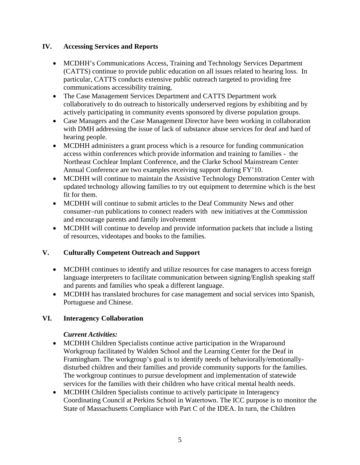### **IV. Accessing Services and Reports**

- MCDHH's Communications Access, Training and Technology Services Department (CATTS) continue to provide public education on all issues related to hearing loss. In particular, CATTS conducts extensive public outreach targeted to providing free communications accessibility training.
- The Case Management Services Department and CATTS Department work collaboratively to do outreach to historically underserved regions by exhibiting and by actively participating in community events sponsored by diverse population groups.
- Case Managers and the Case Management Director have been working in collaboration with DMH addressing the issue of lack of substance abuse services for deaf and hard of hearing people.
- MCDHH administers a grant process which is a resource for funding communication access within conferences which provide information and training to families - the Northeast Cochlear Implant Conference, and the Clarke School Mainstream Center Annual Conference are two examples receiving support during FY'10.
- MCDHH will continue to maintain the Assistive Technology Demonstration Center with updated technology allowing families to try out equipment to determine which is the best fit for them.
- MCDHH will continue to submit articles to the Deaf Community News and other consumer–run publications to connect readers with new initiatives at the Commission and encourage parents and family involvement
- MCDHH will continue to develop and provide information packets that include a listing of resources, videotapes and books to the families.

# **V. Culturally Competent Outreach and Support**

- MCDHH continues to identify and utilize resources for case managers to access foreign language interpreters to facilitate communication between signing/English speaking staff and parents and families who speak a different language.
- MCDHH has translated brochures for case management and social services into Spanish, Portuguese and Chinese.

# **VI. Interagency Collaboration**

# *Current Activities:*

- MCDHH Children Specialists continue active participation in the Wraparound Workgroup facilitated by Walden School and the Learning Center for the Deaf in Framingham. The workgroup's goal is to identify needs of behaviorally/emotionallydisturbed children and their families and provide community supports for the families. The workgroup continues to pursue development and implementation of statewide services for the families with their children who have critical mental health needs.
- MCDHH Children Specialists continue to actively participate in Interagency Coordinating Council at Perkins School in Watertown. The ICC purpose is to monitor the State of Massachusetts Compliance with Part C of the IDEA. In turn, the Children